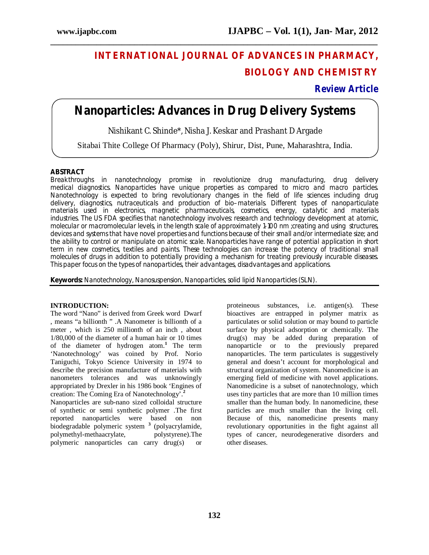# **INTERNATIONAL JOURNAL OF ADVANCES IN PHARMACY, BIOLOGY AND CHEMISTRY**

## **Review Article**

## **Nanoparticles: Advances in Drug Delivery Systems**

**\_\_\_\_\_\_\_\_\_\_\_\_\_\_\_\_\_\_\_\_\_\_\_\_\_\_\_\_\_\_\_\_\_\_\_\_\_\_\_\_\_\_\_\_\_\_\_\_\_\_\_\_\_\_\_\_\_\_\_\_\_\_\_\_\_\_\_\_\_\_\_\_\_\_\_\_\_\_**

Nishikant C. Shinde\*, Nisha J. Keskar and Prashant D Argade

Sitabai Thite College Of Pharmacy (Poly), Shirur, Dist, Pune, Maharashtra, India.

## **ABSTRACT**

Breakthroughs in nanotechnology promise in revolutionize drug manufacturing, drug delivery medical diagnostics. Nanoparticles have unique properties as compared to micro and macro particles. Nanotechnology is expected to bring revolutionary changes in the field of life sciences including drug delivery, diagnostics, nutraceuticals and production of bio–materials. Different types of nanoparticulate materials used in electronics, magnetic pharmaceuticals, cosmetics, energy, catalytic and materials industries. The US FDA specifies that nanotechnology involves: research and technology development at atomic, molecular or macromolecular levels, in the length scale of approximately 1-100 nm ;creating and using structures, devices and systems that have novel properties and functions because of their small and/or intermediate size; and the ability to control or manipulate on atomic scale. Nanoparticles have range of potential application in short term in new cosmetics, textiles and paints. These technologies can increase the potency of traditional small molecules of drugs in addition to potentially providing a mechanism for treating previously incurable diseases. This paper focus on the types of nanoparticles, their advantages, disadvantages and applications.

**Keywords:** Nanotechnology, Nanosuspension, Nanoparticles, solid lipid Nanoparticles (SLN).

## **INTRODUCTION:**

The word "Nano" is derived from Greek word Dwarf , means "a billionth " .A Nanometer is billionth of a meter , which is 250 millionth of an inch , about 1/80,000 of the diameter of a human hair or 10 times of the diameter of hydrogen atom.**<sup>1</sup>** The term 'Nanotechnology' was coined by Prof. Norio Taniguchi, Tokyo Science University in 1974 to describe the precision manufacture of materials with nanometers tolerances and was unknowingly appropriated by Drexler in his 1986 book 'Engines of creation: The Coming Era of Nanotechnology'.**<sup>2</sup>**

Nanoparticles are sub-nano sized colloidal structure of synthetic or semi synthetic polymer .The first reported nanoparticles were based on non biodegradable polymeric system **<sup>3</sup>** (polyacrylamide, polymethyl-methaacrylate, polystyrene).The polymeric nanoparticles can carry drug(s) or

proteineous substances, i.e. antigen(s). These bioactives are entrapped in polymer matrix as particulates or solid solution or may bound to particle surface by physical adsorption or chemically. The drug(s) may be added during preparation of nanoparticle or to the previously prepared nanoparticles. The term particulates is suggestively general and doesn't account for morphological and structural organization of system. Nanomedicine is an emerging field of medicine with novel applications. Nanomedicine is a subset of nanotechnology, which uses tiny particles that are more than 10 million times smaller than the human body. In nanomedicine, these particles are much smaller than the living cell. Because of this, nanomedicine presents many revolutionary opportunities in the fight against all types of cancer, neurodegenerative disorders and other diseases.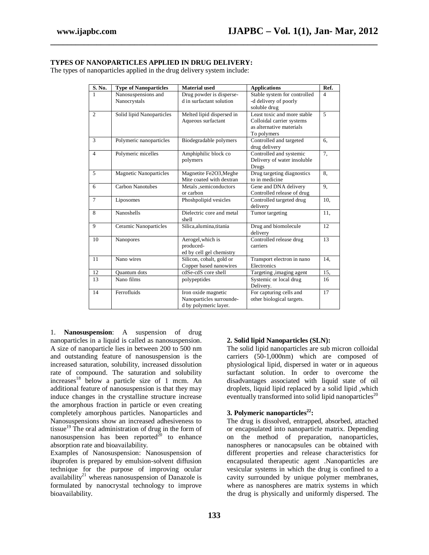## **TYPES OF NANOPARTICLES APPLIED IN DRUG DELIVERY:**

The types of nanoparticles applied in the drug delivery system include:

| S. No.         | <b>Type of Nanoparticles</b>        | <b>Material</b> used                                                     | <b>Applications</b>                                                                                 | Ref.           |
|----------------|-------------------------------------|--------------------------------------------------------------------------|-----------------------------------------------------------------------------------------------------|----------------|
| 1              | Nanosuspensions and<br>Nanocrystals | Drug powder is disperse-<br>d in surfactant solution                     | Stable system for controlled<br>-d delivery of poorly<br>soluble drug                               | $\overline{4}$ |
| $\overline{c}$ | Solid lipid Nanoparticles           | Melted lipid dispersed in<br>Aqueous surfactant                          | Least toxic and more stable<br>Colloidal carrier systems<br>as alternative materials<br>To polymers | 5              |
| 3              | Polymeric nanoparticles             | Biodegradable polymers                                                   | Controlled and targeted<br>drug delivery                                                            | 6.             |
| $\overline{4}$ | Polymeric micelles                  | Amphiphilic block co<br>polymers                                         | Controlled and systemic<br>Delivery of water insoluble<br>Drugs                                     | 7,             |
| 5              | <b>Magnetic Nanoparticles</b>       | Magnetite Fe2O3, Meghe<br>Mite coated with dextran                       | Drug targeting diagnostics<br>to in medicine                                                        | 8.             |
| 6              | Carbon Nanotubes                    | Metals, semiconductors<br>or carbon                                      | Gene and DNA delivery<br>Controlled release of drug                                                 | 9,             |
| $\tau$         | Liposomes                           | Phoshpolipid vesicles                                                    | Controlled targeted drug<br>delivery                                                                | 10.            |
| 8              | Nanoshells                          | Dielectric core and metal<br>shell                                       | Tumor targeting                                                                                     | 11.            |
| 9              | <b>Ceramic Nanoparticles</b>        | Silica, alumina, titania                                                 | Drug and biomolecule<br>delivery                                                                    | 12             |
| 10             | Nanopores                           | Aerogel, which is<br>produced-<br>ed by cell gel chemistry               | Controlled release drug<br>carriers                                                                 | 13             |
| 11             | Nano wires                          | Silicon, cobalt, gold or<br>Copper based nanowires                       | Transport electron in nano<br>Electronics                                                           | 14.            |
| 12             | Quantum dots                        | cdSe-cdS core shell                                                      | Targeting ,imaging agent                                                                            | 15,            |
| 13             | Nano films                          | polypeptides                                                             | Systemic or local drug<br>Delivery.                                                                 | 16             |
| 14             | Ferrofluids                         | Iron oxide magnetic<br>Nanoparticles surrounde-<br>d by polymeric layer. | For capturing cells and<br>other biological targets.                                                | 17             |

**\_\_\_\_\_\_\_\_\_\_\_\_\_\_\_\_\_\_\_\_\_\_\_\_\_\_\_\_\_\_\_\_\_\_\_\_\_\_\_\_\_\_\_\_\_\_\_\_\_\_\_\_\_\_\_\_\_\_\_\_\_\_\_\_\_\_\_\_\_\_\_\_\_\_\_\_\_\_**

1. **Nanosuspension**: A suspension of drug nanoparticles in a liquid is called as nanosuspension. A size of nanoparticle lies in between 200 to 500 nm and outstanding feature of nanosuspension is the increased saturation, solubility, increased dissolution rate of compound. The saturation and solubility  $increases$ <sup>18</sup> below a particle size of 1 mcm. An additional feature of nanosuspension is that they may induce changes in the crystalline structure increase the amorphous fraction in particle or even creating completely amorphous particles. Nanoparticles and Nanosuspensions show an increased adhesiveness to tissue $^{19}$  The oral administration of drug in the form of nanosuspension has been reported<sup>20</sup> to enhance absorption rate and bioavailability.

Examples of Nanosuspension: Nanosuspension of ibuprofen is prepared by emulsion-solvent diffusion technique for the purpose of improving ocular availability<sup>21</sup> whereas nanosuspension of Danazole is formulated by nanocrystal technology to improve bioavailability.

#### **2. Solid lipid Nanoparticles (SLN):**

The solid lipid nanoparticles are sub micron colloidal carriers (50-1,000nm) which are composed of physiological lipid, dispersed in water or in aqueous surfactant solution. In order to overcome the disadvantages associated with liquid state of oil droplets, liquid lipid replaced by a solid lipid ,which eventually transformed into solid lipid nanoparticles<sup>20</sup>

## **3. Polymeric nanoparticles<sup>22</sup> :**

The drug is dissolved, entrapped, absorbed, attached or encapsulated into nanoparticle matrix. Depending on the method of preparation, nanoparticles, nanospheres or nanocapsules can be obtained with different properties and release characteristics for encapsulated therapeutic agent .Nanoparticles are vesicular systems in which the drug is confined to a cavity surrounded by unique polymer membranes, where as nanospheres are matrix systems in which the drug is physically and uniformly dispersed. The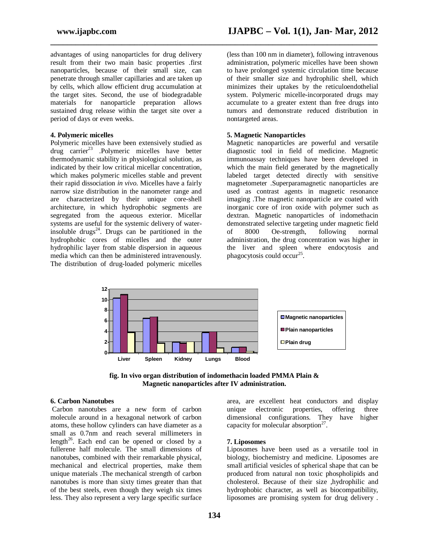advantages of using nanoparticles for drug delivery result from their two main basic properties .first nanoparticles, because of their small size, can penetrate through smaller capillaries and are taken up by cells, which allow efficient drug accumulation at the target sites. Second, the use of biodegradable materials for nanoparticle preparation allows sustained drug release within the target site over a period of days or even weeks.

#### **4. Polymeric micelles**

Polymeric micelles have been extensively studied as drug carrier<sup>23</sup> .Polymeric micelles have better thermodynamic stability in physiological solution, as indicated by their low critical micellar concentration, which makes polymeric micelles stable and prevent their rapid dissociation *in vivo*. Micelles have a fairly narrow size distribution in the nanometer range and are characterized by their unique core-shell architecture, in which hydrophobic segments are segregated from the aqueous exterior. Micellar systems are useful for the systemic delivery of waterinsoluble drugs<sup>24</sup>. Drugs can be partitioned in the hydrophobic cores of micelles and the outer hydrophilic layer from stable dispersion in aqueous media which can then be administered intravenously. The distribution of drug-loaded polymeric micelles

(less than 100 nm in diameter), following intravenous administration, polymeric micelles have been shown to have prolonged systemic circulation time because of their smaller size and hydrophilic shell, which minimizes their uptakes by the reticuloendothelial system. Polymeric micelle-incorporated drugs may accumulate to a greater extent than free drugs into tumors and demonstrate reduced distribution in nontargeted areas.

### **5. Magnetic Nanoparticles**

Magnetic nanoparticles are powerful and versatile diagnostic tool in field of medicine. Magnetic immunoassay techniques have been developed in which the main field generated by the magnetically labeled target detected directly with sensitive magnetometer .Superparamagnetic nanoparticles are used as contrast agents in magnetic resonance imaging .The magnetic nanoparticle are coated with inorganic core of iron oxide with polymer such as dextran. Magnetic nanoparticles of indomethacin demonstrated selective targeting under magnetic field of 8000 Oe-strength, following normal administration, the drug concentration was higher in the liver and spleen where endocytosis and phagocytosis could occur<sup>25</sup>.



**\_\_\_\_\_\_\_\_\_\_\_\_\_\_\_\_\_\_\_\_\_\_\_\_\_\_\_\_\_\_\_\_\_\_\_\_\_\_\_\_\_\_\_\_\_\_\_\_\_\_\_\_\_\_\_\_\_\_\_\_\_\_\_\_\_\_\_\_\_\_\_\_\_\_\_\_\_\_**

**fig. In vivo organ distribution of indomethacin loaded PMMA Plain & Magnetic nanoparticles after IV administration.**

#### **6. Carbon Nanotubes**

Carbon nanotubes are a new form of carbon molecule around in a hexagonal network of carbon atoms, these hollow cylinders can have diameter as a small as 0.7nm and reach several millimeters in length<sup>26</sup>. Each end can be opened or closed by a fullerene half molecule. The small dimensions of nanotubes, combined with their remarkable physical, mechanical and electrical properties, make them unique materials .The mechanical strength of carbon nanotubes is more than sixty times greater than that of the best steels, even though they weigh six times less. They also represent a very large specific surface

area, are excellent heat conductors and display unique electronic properties, offering three dimensional configurations. They have higher capacity for molecular absorption<sup>27</sup>.

#### **7. Liposomes**

Liposomes have been used as a versatile tool in biology, biochemistry and medicine. Liposomes are small artificial vesicles of spherical shape that can be produced from natural non toxic phospholipids and cholesterol. Because of their size ,hydrophilic and hydrophobic character, as well as biocompatibility, liposomes are promising system for drug delivery .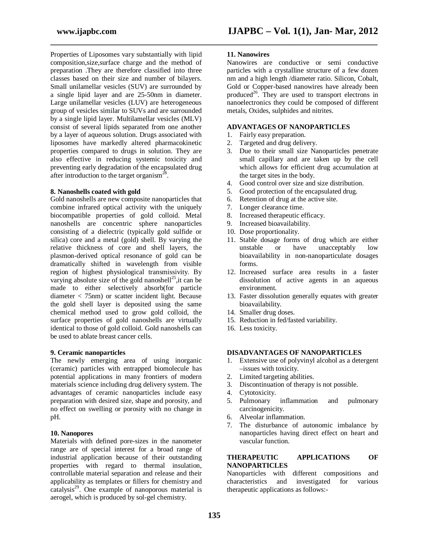Properties of Liposomes vary substantially with lipid composition,size,surface charge and the method of preparation .They are therefore classified into three classes based on their size and number of bilayers. Small unilamellar vesicles (SUV) are surrounded by a single lipid layer and are 25-50nm in diameter. Large unilamellar vesicles (LUV) are heterogeneous group of vesicles similar to SUVs and are surrounded by a single lipid layer. Multilamellar vesicles (MLV) consist of several lipids separated from one another by a layer of aqueous solution. Drugs associated with liposomes have markedly altered pharmacokinetic properties compared to drugs in solution. They are also effective in reducing systemic toxicity and preventing early degradation of the encapsulated drug after introduction to the target organism<sup>28</sup>.

#### **8. Nanoshells coated with gold**

Gold nanoshells are new composite nanoparticles that combine infrared optical activity with the uniquely biocompatible properties of gold colloid. Metal nanoshells are concentric sphere nanoparticles consisting of a dielectric (typically gold sulfide or silica) core and a metal (gold) shell. By varying the relative thickness of core and shell layers, the plasmon-derived optical resonance of gold can be dramatically shifted in wavelength from visible region of highest physiological transmissivity. By varying absolute size of the gold nanoshell<sup>25</sup>, it can be made to either selectively absorb(for particle diameter < 75nm) or scatter incident light. Because the gold shell layer is deposited using the same chemical method used to grow gold colloid, the surface properties of gold nanoshells are virtually identical to those of gold colloid. Gold nanoshells can be used to ablate breast cancer cells.

#### **9. Ceramic nanoparticles**

The newly emerging area of using inorganic (ceramic) particles with entrapped biomolecule has potential applications in many frontiers of modern materials science including drug delivery system. The advantages of ceramic nanoparticles include easy preparation with desired size, shape and porosity, and no effect on swelling or porosity with no change in pH.

#### **10. Nanopores**

Materials with defined pore-sizes in the nanometer range are of special interest for a broad range of industrial application because of their outstanding properties with regard to thermal insulation, controllable material separation and release and their applicability as templates or fillers for chemistry and catalysis<sup>29</sup>. One example of nanoporous material is aerogel, which is produced by sol-gel chemistry.

### **11. Nanowires**

**\_\_\_\_\_\_\_\_\_\_\_\_\_\_\_\_\_\_\_\_\_\_\_\_\_\_\_\_\_\_\_\_\_\_\_\_\_\_\_\_\_\_\_\_\_\_\_\_\_\_\_\_\_\_\_\_\_\_\_\_\_\_\_\_\_\_\_\_\_\_\_\_\_\_\_\_\_\_**

Nanowires are conductive or semi conductive particles with a crystalline structure of a few dozen nm and a high length /diameter ratio. Silicon, Cobalt, Gold or Copper-based nanowires have already been produced<sup>26</sup>. They are used to transport electrons in nanoelectronics they could be composed of different metals, Oxides, sulphides and nitrites.

## **ADVANTAGES OF NANOPARTICLES**

- 1. Fairly easy preparation.
- 2. Targeted and drug delivery.
- 3. Due to their small size Nanoparticles penetrate small capillary and are taken up by the cell which allows for efficient drug accumulation at the target sites in the body.
- 4. Good control over size and size distribution.
- 5. Good protection of the encapsulated drug.
- 6. Retention of drug at the active site.
- 7. Longer clearance time.
- 8. Increased therapeutic efficacy.
- 9. Increased bioavailability.
- 10. Dose proportionality.
- 11. Stable dosage forms of drug which are either unstable or have unacceptably low bioavailability in non-nanoparticulate dosages forms.
- 12. Increased surface area results in a faster dissolution of active agents in an aqueous environment.
- 13. Faster dissolution generally equates with greater bioavailability.
- 14. Smaller drug doses.
- 15. Reduction in fed/fasted variability.
- 16. Less toxicity.

#### **DISADVANTAGES OF NANOPARTICLES**

- 1. Extensive use of polyvinyl alcohol as a detergent –issues with toxicity.
- 2. Limited targeting abilities.
- 3. Discontinuation of therapy is not possible.
- 4. Cytotoxicity.
- 5. Pulmonary inflammation and pulmonary carcinogenicity.
- 6. Alveolar inflammation.
- 7. The disturbance of autonomic imbalance by nanoparticles having direct effect on heart and vascular function.

#### **THERAPEUTIC APPLICATIONS OF NANOPARTICLES**

Nanoparticles with different compositions and<br>characteristics and investigated for various and investigated for various therapeutic applications as follows:-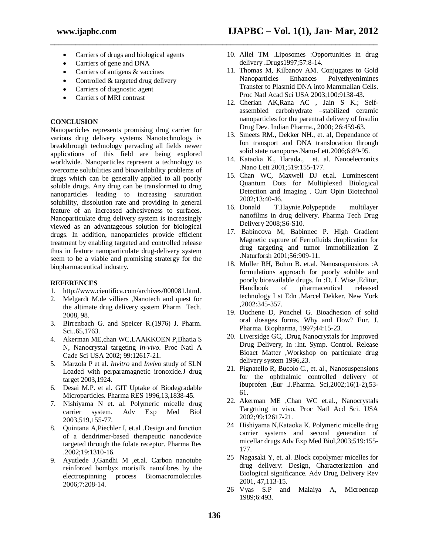• Carriers of drugs and biological agents

**\_\_\_\_\_\_\_\_\_\_\_\_\_\_\_\_\_\_\_\_\_\_\_\_\_\_\_\_\_\_\_\_\_\_\_\_\_\_\_\_\_\_\_\_\_\_\_\_\_\_\_\_\_\_\_\_\_\_\_\_\_\_\_\_\_\_\_\_\_\_\_\_\_\_\_\_\_\_**

- Carriers of gene and DNA
- Carriers of antigens & vaccines
- Controlled & targeted drug delivery
- Carriers of diagnostic agent
- Carriers of MRI contrast

## **CONCLUSION**

Nanoparticles represents promising drug carrier for various drug delivery systems Nanotechnology is breakthrough technology pervading all fields newer applications of this field are being explored worldwide. Nanoparticles represent a technology to overcome solubilities and bioavailability problems of drugs which can be generally applied to all poorly soluble drugs. Any drug can be transformed to drug nanoparticles leading to increasing saturation solubility, dissolution rate and providing in general feature of an increased adhesiveness to surfaces. Nanoparticulate drug delivery system is increasingly viewed as an advantageous solution for biological drugs. In addition, nanoparticles provide efficient treatment by enabling targeted and controlled release thus in feature nanoparticulate drug-delivery system seem to be a viable and promising stratergy for the biopharmaceutical industry.

## **REFERENCES**

- 1. http://www.cientifica.com/archives/000081.html.
- 2. Melgardt M.de villiers ,Nanotech and quest for the altimate drug delivery system Pharm Tech. 2008, 98.
- 3. Birrenbach G. and Speicer R.(1976) J. Pharm. Sci..65,1763.
- 4. Akerman ME,chan WC,LAAKKOEN P,Bhatia S N, Nanocrystal targeting *in-vivo*. Proc Natl A Cade Sci USA 2002; 99:12617-21.
- 5. Marzola P et al. *Invitro* and *Invivo* study of SLN Loaded with perparamagnetic ironoxide.J drug target 2003,1924.
- 6. Desai M.P. et al. GIT Uptake of Biodegradable Microparticles. Pharma RES 1996,13,1838-45.
- 7. Nishiyama N et. al. Polymeric micelle drug carrier system. Adv Exp Med Biol 2003,519,155-77.
- 8. Quintana A,Piechler I, et.al .Design and function of a dendrimer-based therapeutic nanodevice targeted through the folate receptor. Pharma Res .2002;19:1310-16.
- 9. Ayutlede J,Gandhi M ,et.al. Carbon nanotube reinforced bombyx morisilk nanofibres by the electrospinning process Biomacromolecules 2006;7:208-14.
- 10. Allel TM .Liposomes :Opportunities in drug delivery .Drugs1997;57:8-14.
- 11. Thomas M, Kilbanov AM. Conjugates to Gold Nanoparticles Enhances Polyethyenimines Transfer to Plasmid DNA into Mammalian Cells. Proc Natl Acad Sci USA 2003;100:9138-43.
- 12. Cherian AK,Rana AC , Jain S K.; Selfassembled carbohydrate –stabilized ceramic nanoparticles for the parentral delivery of Insulin Drug Dev. Indian Pharma., 2000; 26:459-63.
- 13. Smeets RM., Dekker NH., et. al, Dependance of Ion transport and DNA translocation through solid state nanopores.Nano-Lett.2006;6:89-95.
- 14. Kataoka K., Harada., et. al. Nanoelecronics .Nano Lett 2001;519:155-177.
- 15. Chan WC, Maxwell DJ et.al. Luminescent Quantum Dots for Multiplexed Biological Detection and Imaging . Curr Opin Biotechnol 2002;13:40-46.
- 16. Donald T.Haynie.Polypeptide multilayer nanofilms in drug delivery. Pharma Tech Drug Delivery 2008;S6-S10.
- 17. Babincova M, Babinnec P. High Gradient Magnetic capture of Ferrofluids :Implication for drug targeting and tumor immobilization Z .Naturforsh 2001;56:909-11.
- 18. Muller RH, Bohm B. et.al. Nanosuspensions :A formulations approach for poorly soluble and poorly bioavailable drugs. In :D. L Wise ,Editor, Handbook of pharmaceutical released technology I st Edn ,Marcel Dekker, New York ,2002:345-357.
- 19. Duchene D, Ponchel G. Bioadhesion of solid oral dosages forms. Why and How? Eur. J. Pharma. Biopharma, 1997;44:15-23.
- 20. Liversidge GC, .Drug Nanocrystals for Improved Drug Delivery, In :Int. Symp. Control. Release Bioact Matter ,Workshop on particulate drug delivery system 1996,23.
- 21. Pignatello R, Bucolo C., et. al., Nanosuspensions for the ophthalmic controlled delivery of ibuprofen ,Eur .J.Pharma. Sci,2002;16(1-2),53- 61.
- 22. Akerman ME ,Chan WC et.al., Nanocrystals Targrtting in vivo, Proc Natl Acd Sci. USA 2002;99:12617-21.
- 24 Hishiyama N,Kataoka K. Polymeric micelle drug carrier systems and second generation of micellar drugs Adv Exp Med Biol,2003;519:155- 177.
- 25 Nagasaki Y, et. al. Block copolymer micelles for drug delivery: Design, Characterization and Biological significance. Adv Drug Delivery Rev 2001, 47,113-15.
- 26 Vyas S.P and Malaiya A, Microencap 1989;6:493.